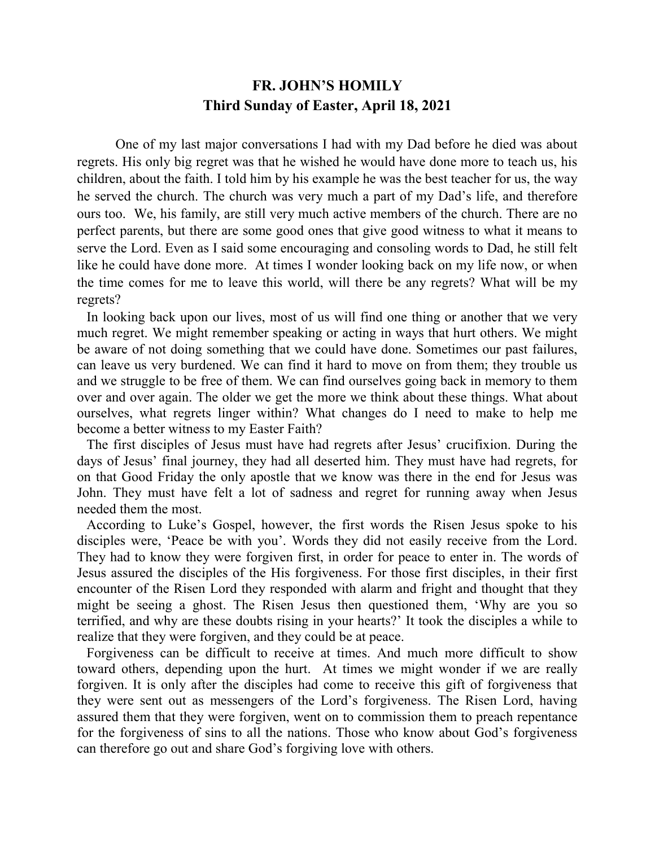## **FR. JOHN'S HOMILY Third Sunday of Easter, April 18, 2021**

One of my last major conversations I had with my Dad before he died was about regrets. His only big regret was that he wished he would have done more to teach us, his children, about the faith. I told him by his example he was the best teacher for us, the way he served the church. The church was very much a part of my Dad's life, and therefore ours too. We, his family, are still very much active members of the church. There are no perfect parents, but there are some good ones that give good witness to what it means to serve the Lord. Even as I said some encouraging and consoling words to Dad, he still felt like he could have done more. At times I wonder looking back on my life now, or when the time comes for me to leave this world, will there be any regrets? What will be my regrets?

 In looking back upon our lives, most of us will find one thing or another that we very much regret. We might remember speaking or acting in ways that hurt others. We might be aware of not doing something that we could have done. Sometimes our past failures, can leave us very burdened. We can find it hard to move on from them; they trouble us and we struggle to be free of them. We can find ourselves going back in memory to them over and over again. The older we get the more we think about these things. What about ourselves, what regrets linger within? What changes do I need to make to help me become a better witness to my Easter Faith?

 The first disciples of Jesus must have had regrets after Jesus' crucifixion. During the days of Jesus' final journey, they had all deserted him. They must have had regrets, for on that Good Friday the only apostle that we know was there in the end for Jesus was John. They must have felt a lot of sadness and regret for running away when Jesus needed them the most.

 According to Luke's Gospel, however, the first words the Risen Jesus spoke to his disciples were, 'Peace be with you'. Words they did not easily receive from the Lord. They had to know they were forgiven first, in order for peace to enter in. The words of Jesus assured the disciples of the His forgiveness. For those first disciples, in their first encounter of the Risen Lord they responded with alarm and fright and thought that they might be seeing a ghost. The Risen Jesus then questioned them, 'Why are you so terrified, and why are these doubts rising in your hearts?' It took the disciples a while to realize that they were forgiven, and they could be at peace.

 Forgiveness can be difficult to receive at times. And much more difficult to show toward others, depending upon the hurt. At times we might wonder if we are really forgiven. It is only after the disciples had come to receive this gift of forgiveness that they were sent out as messengers of the Lord's forgiveness. The Risen Lord, having assured them that they were forgiven, went on to commission them to preach repentance for the forgiveness of sins to all the nations. Those who know about God's forgiveness can therefore go out and share God's forgiving love with others.